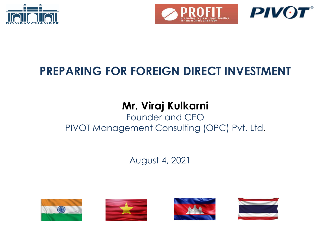



# **PREPARING FOR FOREIGN DIRECT INVESTMENT**

# **Mr. Viraj Kulkarni**

# Founder and CEO PIVOT Management Consulting (OPC) Pvt. Ltd**.**

August 4, 2021









**PIVOT**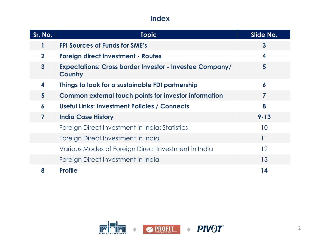# **Index**

| Sr. No.         | <b>Topic</b>                                                              | Slide No.               |  |  |
|-----------------|---------------------------------------------------------------------------|-------------------------|--|--|
|                 | <b>FPI Sources of Funds for SME's</b>                                     | $\overline{\mathbf{3}}$ |  |  |
| $\mathbf{2}$    | <b>Foreign direct investment - Routes</b>                                 | 4                       |  |  |
| $\mathbf{3}$    | <b>Expectations: Cross border Investor - Investee Company/</b><br>Country | 5                       |  |  |
| 4               | Things to look for a sustainable FDI partnership                          | 6                       |  |  |
| $5\overline{)}$ | <b>Common external touch points for investor information</b>              |                         |  |  |
| 6               | <b>Useful Links: Investment Policies / Connects</b>                       | 8                       |  |  |
| 7               | <b>India Case History</b>                                                 | $9 - 13$                |  |  |
|                 | Foreign Direct Investment in India: Statistics                            | 10 <sup>°</sup>         |  |  |
|                 | Foreign Direct Investment in India                                        | 11                      |  |  |
|                 | Various Modes of Foreign Direct Investment in India                       | $12 \overline{ }$       |  |  |
|                 | Foreign Direct Investment in India                                        | 13                      |  |  |
| 8               | <b>Profile</b>                                                            | 14                      |  |  |

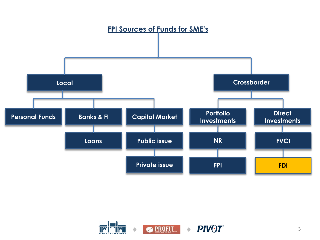

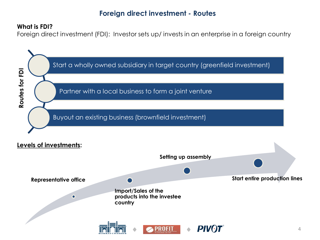## **Foreign direct investment - Routes**

#### **What is FDI?**

Foreign direct investment (FDI): Investor sets up/ invests in an enterprise in a foreign country

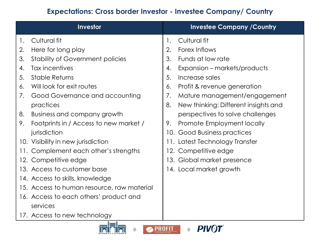# **Expectations: Cross border Investor - Investee Company/ Country**

| Investor |                                            | <b>Investee Company / Country</b> |                                      |  |
|----------|--------------------------------------------|-----------------------------------|--------------------------------------|--|
| 1.       | Cultural fit                               | 1.                                | Cultural fit                         |  |
| 2.       | Here for long play                         | 2.                                | Forex Inflows                        |  |
| 3.       | <b>Stability of Government policies</b>    | 3.                                | Funds at low rate                    |  |
| 4.       | Tax incentives                             | 4.                                | Expansion – markets/products         |  |
| 5.       | <b>Stable Returns</b>                      | 5.                                | Increase sales                       |  |
| 6.       | Will look for exit routes                  | 6.                                | Profit & revenue generation          |  |
| 7.       | Good Governance and accounting             | 7.                                | Mature management/engagement         |  |
|          | practices                                  | 8.                                | New thinking: Different insights and |  |
| 8.       | Business and company growth                |                                   | perspectives to solve challenges     |  |
| 9.       | Footprints in / Access to new market /     | 9.                                | Promote Employment locally           |  |
|          | jurisdiction                               |                                   | 10. Good Business practices          |  |
|          | 10. Visibility in new jurisdiction         |                                   | 11. Latest Technology Transfer       |  |
|          | 11. Complement each other's strengths      |                                   | 12. Competitive edge                 |  |
|          | 12. Competitive edge                       |                                   | 13. Global market presence           |  |
|          | 13. Access to customer base                |                                   | 14. Local market growth              |  |
|          | 14. Access to skills, knowledge            |                                   |                                      |  |
|          | 15. Access to human resource, raw material |                                   |                                      |  |
|          | 16. Access to each others' product and     |                                   |                                      |  |
|          | services                                   |                                   |                                      |  |
|          | 17. Access to new technology               |                                   |                                      |  |
|          | i — i                                      |                                   |                                      |  |

**PROFIT** 

**PIVOT**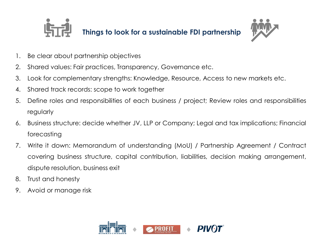



- 1. Be clear about partnership objectives
- 2. Shared values: Fair practices, Transparency, Governance etc.
- 3. Look for complementary strengths: Knowledge, Resource, Access to new markets etc.
- 4. Shared track records: scope to work together
- 5. Define roles and responsibilities of each business / project; Review roles and responsibilities regularly
- 6. Business structure: decide whether JV, LLP or Company; Legal and tax implications; Financial forecasting
- 7. Write it down: Memorandum of understanding (MoU) / Partnership Agreement / Contract covering business structure, capital contribution, liabilities, decision making arrangement, dispute resolution, business exit
- 8. Trust and honesty
- 9. Avoid or manage risk

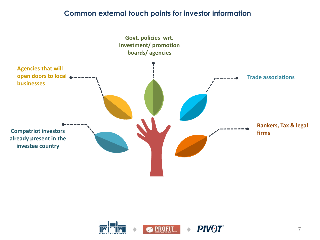#### **Common external touch points for investor information**



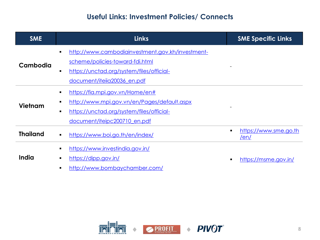# **Useful Links: Investment Policies/ Connects**

| <b>SME</b>      | <b>Links</b>                                                       | <b>SME Specific Links</b>            |
|-----------------|--------------------------------------------------------------------|--------------------------------------|
|                 | http://www.cambodiainvestment.gov.kh/investment-<br>$\blacksquare$ |                                      |
| Cambodia        | scheme/policies-toward-fdi.html                                    |                                      |
|                 | https://unctad.org/system/files/official-<br>٠                     |                                      |
|                 | document/iteiia20036 en.pdf                                        |                                      |
|                 | https://fia.mpi.gov.vn/Home/en#<br>$\blacksquare$                  |                                      |
| Vietnam         | http://www.mpi.gov.vn/en/Pages/default.aspx<br>п                   |                                      |
|                 | https://unctad.org/system/files/official-<br>$\blacksquare$        |                                      |
|                 | document/iteipc200710_en.pdf                                       |                                      |
| <b>Thailand</b> | https://www.boi.go.th/en/index/<br>$\blacksquare$                  | https://www.sme.go.th<br><u>/en/</u> |
|                 | https://www.investindia.gov.in/<br>$\blacksquare$                  |                                      |
| India           | https://dipp.gov.in/<br>$\blacksquare$                             | https://msme.gov.in/                 |
|                 | http://www.bombaychamber.com/<br>п                                 |                                      |

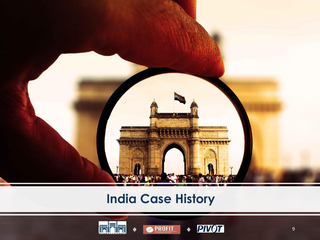

# **India Case History**





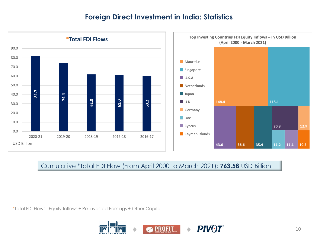## **Foreign Direct Investment in India: Statistics**



#### Cumulative \*Total FDI Flow (From April 2000 to March 2021): **763.58** USD Billion

\*Total FDI Flows : Equity Inflows + Re-invested Earnings + Other Capital

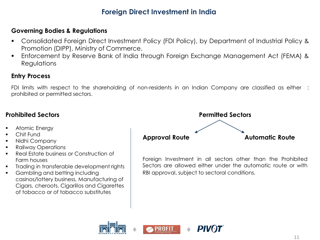# **Foreign Direct Investment in India**

#### **Governing Bodies & Regulations**

- Consolidated Foreign Direct Investment Policy (FDI Policy), by Department of Industrial Policy & Promotion (DIPP), Ministry of Commerce.
- **Enforcement by Reserve Bank of India through Foreign Exchange Management Act (FEMA) &** Regulations

#### **Entry Process**

FDI limits with respect to the shareholding of non-residents in an Indian Company are classified as either : prohibited or permitted sectors.

#### **Prohibited Sectors**

- Atomic Energy
- Chit Fund
- Nidhi Company
- Railway Operations
- Real Estate business or Construction of Farm houses
- Trading in transferable development rights
- Gambling and betting including casinos/lottery business, Manufacturing of Cigars, cheroots, Cigarillos and Cigarettes of tobacco or of tobacco substitutes



Foreign Investment in all sectors other than the Prohibited Sectors are allowed either under the automatic route or with RBI approval, subject to sectoral conditions.

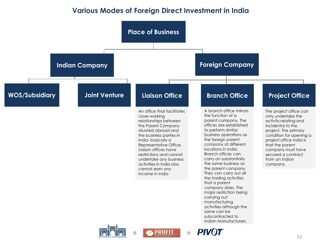## **Various Modes of Foreign Direct Investment in India**

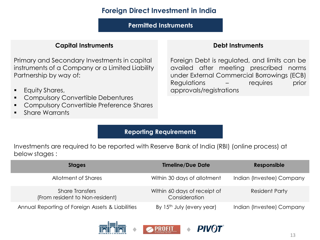## **Foreign Direct Investment in India**

**Permitted Instruments** 

#### **Capital Instruments**

Primary and Secondary Investments in capital instruments of a Company or a Limited Liability Partnership by way of:

- **•** Equity Shares,
- Compulsory Convertible Debentures
- Compulsory Convertible Preference Shares
- Share Warrants

#### **Debt Instruments**

Foreign Debt is regulated, and limits can be availed after meeting prescribed norms under External Commercial Borrowings (ECB) Regulations – requires prior approvals/registrations

#### **Reporting Requirements**

Investments are required to be reported with Reserve Bank of India (RBI) (online process) at below stages :

| <b>Stages</b>                                             | <b>Timeline/Due Date</b>                      | Responsible               |
|-----------------------------------------------------------|-----------------------------------------------|---------------------------|
| Allotment of Shares                                       | Within 30 days of allotment                   | Indian (Investee) Company |
| <b>Share Transfers</b><br>(From resident to Non-resident) | Within 60 days of receipt of<br>Consideration | <b>Resident Party</b>     |
| Annual Reporting of Foreign Assets & Liabilities          | By 15 <sup>th</sup> July (every year)         | Indian (Investee) Company |